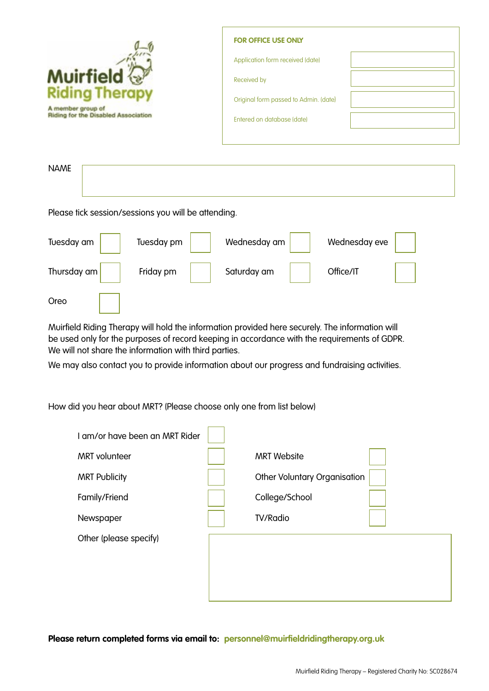|                                            | <b>FOR OFFICE USE ONLY</b>            |  |
|--------------------------------------------|---------------------------------------|--|
|                                            | Application form received (date)      |  |
| Muirfield <i>V</i><br>Riding Therapy       | Received by                           |  |
| A member group of                          | Original form passed to Admin. (date) |  |
| <b>Riding for the Disabled Association</b> | Entered on database (date)            |  |
|                                            |                                       |  |
| <b>NAME</b>                                |                                       |  |
|                                            |                                       |  |

Please tick session/sessions you will be attending.

| Tuesday am  | Tuesday pm | Wednesday am | Wednesday eve |
|-------------|------------|--------------|---------------|
| Thursday am | Friday pm  | Saturday am  | Office/IT     |
| Oreo        |            |              |               |

Muirfield Riding Therapy will hold the information provided here securely. The information will be used only for the purposes of record keeping in accordance with the requirements of GDPR. We will not share the information with third parties.

We may also contact you to provide information about our progress and fundraising activities.

How did you hear about MRT? (Please choose only one from list below)

| I am/or have been an MRT Rider |                              |  |
|--------------------------------|------------------------------|--|
| <b>MRT</b> volunteer           | <b>MRT Website</b>           |  |
| <b>MRT Publicity</b>           | Other Voluntary Organisation |  |
| Family/Friend                  | College/School               |  |
| Newspaper                      | <b>TV/Radio</b>              |  |
| Other (please specify)         |                              |  |
|                                |                              |  |

**Please return completed forms via email to: personnel@muirfieldridingtherapy.org.uk**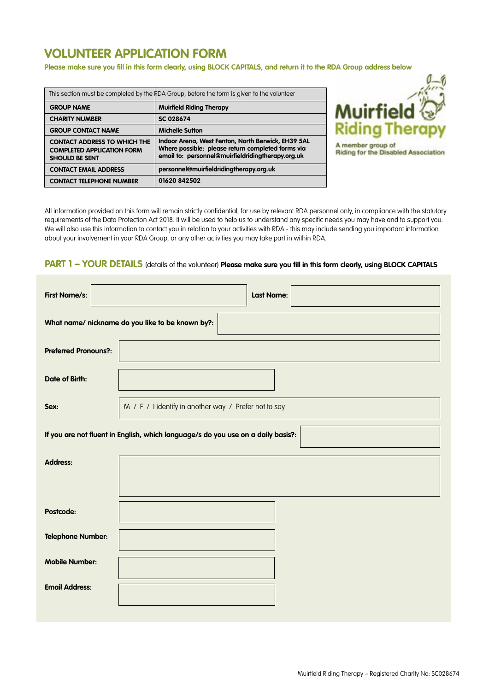# **VOLUNTEER APPLICATION FORM**

**Please make sure you fill in this form clearly, using BLOCK CAPITALS, and return it to the RDA Group address below**

| This section must be completed by the RDA Group, before the form is given to the volunteer        |                                                                                                                                                              |  |
|---------------------------------------------------------------------------------------------------|--------------------------------------------------------------------------------------------------------------------------------------------------------------|--|
| <b>GROUP NAME</b>                                                                                 | <b>Muirfield Riding Therapy</b>                                                                                                                              |  |
| <b>CHARITY NUMBER</b>                                                                             | <b>SC 028674</b>                                                                                                                                             |  |
| <b>GROUP CONTACT NAME</b>                                                                         | <b>Michelle Sutton</b>                                                                                                                                       |  |
| <b>CONTACT ADDRESS TO WHICH THE</b><br><b>COMPLETED APPLICATION FORM</b><br><b>SHOULD BE SENT</b> | Indoor Arena, West Fenton, North Berwick, EH39 5AL<br>Where possible: please return completed forms via<br>email to: personnel@muirfieldridingtherapy.org.uk |  |
| <b>CONTACT EMAIL ADDRESS</b>                                                                      | personnel@muirfieldridingtherapy.org.uk                                                                                                                      |  |
| <b>CONTACT TELEPHONE NUMBER</b>                                                                   | 01620 842502                                                                                                                                                 |  |
|                                                                                                   |                                                                                                                                                              |  |



All information provided on this form will remain strictly confidential, for use by relevant RDA personnel only, in compliance with the statutory requirements of the Data Protection Act 2018. It will be used to help us to understand any specific needs you may have and to support you. We will also use this information to contact you in relation to your activities with RDA - this may include sending you important information about your involvement in your RDA Group, or any other activities you may take part in within RDA.

### **PART 1 – YOUR DETAILS** (details of the volunteer) Please make sure you fill in this form clearly, using BLOCK CAPITALS

| <b>First Name/s:</b>                                                             | <b>Last Name:</b>                                    |  |  |
|----------------------------------------------------------------------------------|------------------------------------------------------|--|--|
|                                                                                  | What name/ nickname do you like to be known by?:     |  |  |
| <b>Preferred Pronouns?:</b>                                                      |                                                      |  |  |
| <b>Date of Birth:</b>                                                            |                                                      |  |  |
| Sex:                                                                             | M / F / lidentify in another way / Prefer not to say |  |  |
| If you are not fluent in English, which language/s do you use on a daily basis?: |                                                      |  |  |
| <b>Address:</b>                                                                  |                                                      |  |  |
|                                                                                  |                                                      |  |  |
| Postcode:                                                                        |                                                      |  |  |
| <b>Telephone Number:</b>                                                         |                                                      |  |  |
| <b>Mobile Number:</b>                                                            |                                                      |  |  |
| <b>Email Address:</b>                                                            |                                                      |  |  |
|                                                                                  |                                                      |  |  |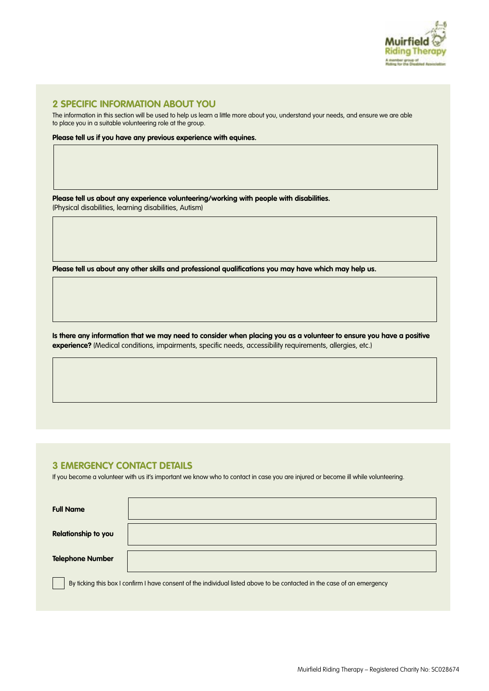

### **2 SPECIFIC INFORMATION ABOUT YOU**

The information in this section will be used to help us learn a little more about you, understand your needs, and ensure we are able to place you in a suitable volunteering role at the group.

**Please tell us if you have any previous experience with equines.** 

**Please tell us about any experience volunteering/working with people with disabilities.**  (Physical disabilities, learning disabilities, Autism)

**Please tell us about any other skills and professional qualifications you may have which may help us.** 

**Is there any information that we may need to consider when placing you as a volunteer to ensure you have a positive experience?** (Medical conditions, impairments, specific needs, accessibility requirements, allergies, etc.)

### **3 EMERGENCY CONTACT DETAILS**

If you become a volunteer with us it's important we know who to contact in case you are injured or become ill while volunteering.

| <b>Full Name</b>           |                                                                                                                         |
|----------------------------|-------------------------------------------------------------------------------------------------------------------------|
| <b>Relationship to you</b> |                                                                                                                         |
| <b>Telephone Number</b>    |                                                                                                                         |
|                            | By ticking this box I confirm I have consent of the individual listed above to be contacted in the case of an emergency |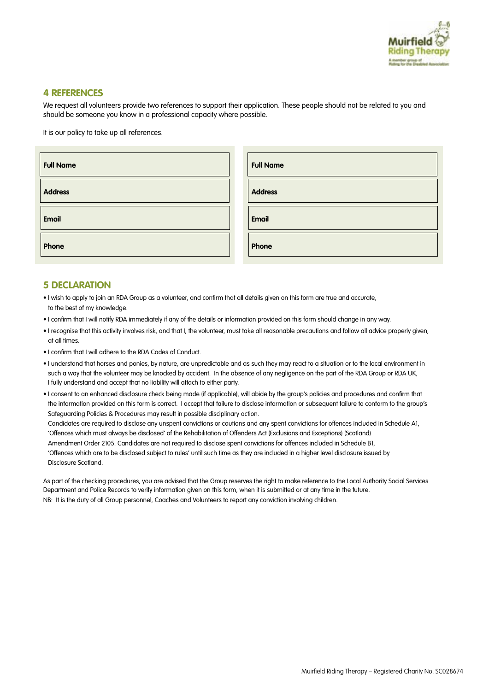

### **4 REFERENCES**

We request all volunteers provide two references to support their application. These people should not be related to you and should be someone you know in a professional capacity where possible.

It is our policy to take up all references.

| <b>Full Name</b> | <b>Full Name</b> |
|------------------|------------------|
| <b>Address</b>   | <b>Address</b>   |
| <b>Email</b>     | <b>Email</b>     |
| Phone            | Phone            |

### **5 DECLARATION**

- I wish to apply to join an RDA Group as a volunteer, and confirm that all details given on this form are true and accurate, to the best of my knowledge.
- I confirm that I will notify RDA immediately if any of the details or information provided on this form should change in any way.
- I recognise that this activity involves risk, and that I, the volunteer, must take all reasonable precautions and follow all advice properly given, at all times.
- I confirm that I will adhere to the RDA Codes of Conduct.
- I understand that horses and ponies, by nature, are unpredictable and as such they may react to a situation or to the local environment in such a way that the volunteer may be knocked by accident. In the absence of any negligence on the part of the RDA Group or RDA UK, I fully understand and accept that no liability will attach to either party.
- I consent to an enhanced disclosure check being made (if applicable), will abide by the group's policies and procedures and confirm that the information provided on this form is correct. I accept that failure to disclose information or subsequent failure to conform to the group's Safeguarding Policies & Procedures may result in possible disciplinary action.

 Candidates are required to disclose any unspent convictions or cautions and any spent convictions for offences included in Schedule A1, 'Offences which must always be disclosed' of the Rehabilitation of Offenders Act (Exclusions and Exceptions) (Scotland) Amendment Order 2105. Candidates are not required to disclose spent convictions for offences included in Schedule B1, 'Offences which are to be disclosed subject to rules' until such time as they are included in a higher level disclosure issued by Disclosure Scotland.

As part of the checking procedures, you are advised that the Group reserves the right to make reference to the Local Authority Social Services Department and Police Records to verify information given on this form, when it is submitted or at any time in the future. NB: It is the duty of all Group personnel, Coaches and Volunteers to report any conviction involving children.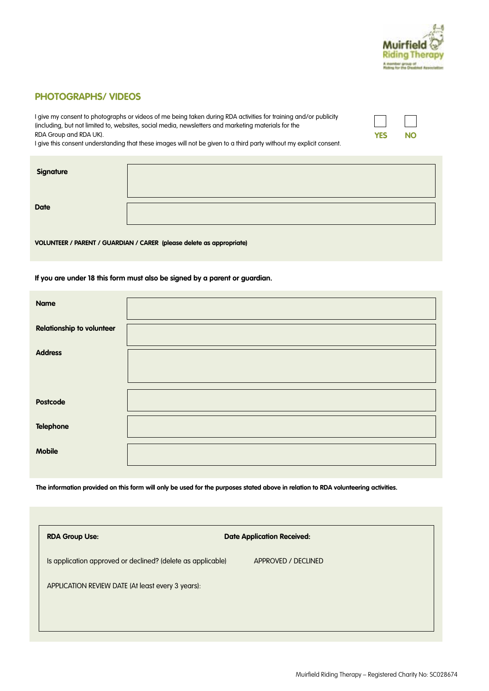

**YES NO**

### **PHOTOGRAPHS/ VIDEOS**

I give my consent to photographs or videos of me being taken during RDA activities for training and/or publicity (including, but not limited to, websites, social media, newsletters and marketing materials for the RDA Group and RDA UK).

I give this consent understanding that these images will not be given to a third party without my explicit consent.

| <b>Signature</b> |  |
|------------------|--|
|                  |  |
| <b>Date</b>      |  |

**VOLUNTEER / PARENT / GUARDIAN / CARER (please delete as appropriate)**

#### **If you are under 18 this form must also be signed by a parent or guardian.**

| <b>Name</b>                      |  |
|----------------------------------|--|
| <b>Relationship to volunteer</b> |  |
| <b>Address</b>                   |  |
|                                  |  |
| Postcode                         |  |
| <b>Telephone</b>                 |  |
| <b>Mobile</b>                    |  |

**The information provided on this form will only be used for the purposes stated above in relation to RDA volunteering activities.**

| <b>RDA Group Use:</b>                                       | <b>Date Application Received:</b> |
|-------------------------------------------------------------|-----------------------------------|
| Is application approved or declined? (delete as applicable) | APPROVED / DECLINED               |
| APPLICATION REVIEW DATE (At least every 3 years):           |                                   |
|                                                             |                                   |
|                                                             |                                   |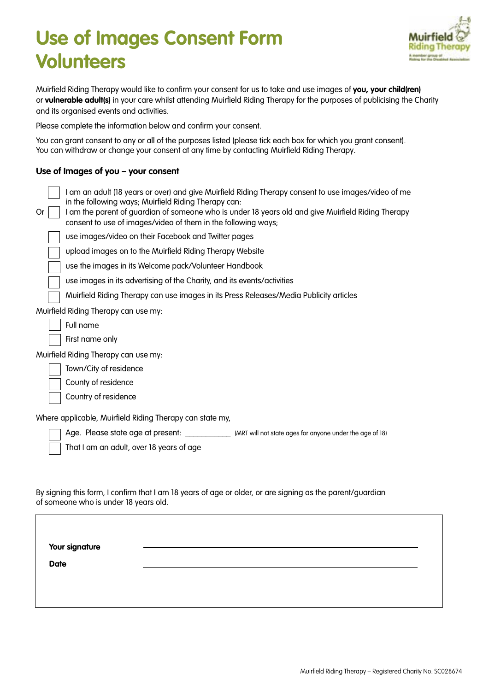# **Use of Images Consent Form Volunteers**



Muirfield Riding Therapy would like to confirm your consent for us to take and use images of **you, your child(ren)**  or **vulnerable adult(s)** in your care whilst attending Muirfield Riding Therapy for the purposes of publicising the Charity and its organised events and activities.

Please complete the information below and confirm your consent.

You can grant consent to any or all of the purposes listed (please tick each box for which you grant consent). You can withdraw or change your consent at any time by contacting Muirfield Riding Therapy.

### **Use of Images of you – your consent**

 **Your signature** 

 **Date** 

| <u>USE UI IIIIUYES UI YUU – YUUI LUIISEIII</u>                                                                                                                                                                                                                                                                                            |
|-------------------------------------------------------------------------------------------------------------------------------------------------------------------------------------------------------------------------------------------------------------------------------------------------------------------------------------------|
| I am an adult (18 years or over) and give Muirfield Riding Therapy consent to use images/video of me<br>in the following ways; Muirfield Riding Therapy can:<br>I am the parent of guardian of someone who is under 18 years old and give Muirfield Riding Therapy<br>0r<br>consent to use of images/video of them in the following ways; |
| use images/video on their Facebook and Twitter pages                                                                                                                                                                                                                                                                                      |
| upload images on to the Muirfield Riding Therapy Website                                                                                                                                                                                                                                                                                  |
| use the images in its Welcome pack/Volunteer Handbook                                                                                                                                                                                                                                                                                     |
| use images in its advertising of the Charity, and its events/activities                                                                                                                                                                                                                                                                   |
| Muirfield Riding Therapy can use images in its Press Releases/Media Publicity articles                                                                                                                                                                                                                                                    |
| Muirfield Riding Therapy can use my:                                                                                                                                                                                                                                                                                                      |
| Full name                                                                                                                                                                                                                                                                                                                                 |
| First name only                                                                                                                                                                                                                                                                                                                           |
| Muirfield Riding Therapy can use my:                                                                                                                                                                                                                                                                                                      |
| Town/City of residence                                                                                                                                                                                                                                                                                                                    |
| County of residence                                                                                                                                                                                                                                                                                                                       |
| Country of residence                                                                                                                                                                                                                                                                                                                      |
| Where applicable, Muirfield Riding Therapy can state my,                                                                                                                                                                                                                                                                                  |
| Age. Please state age at present: _____________ (MRT will not state ages for anyone under the age of 18)                                                                                                                                                                                                                                  |
| That I am an adult, over 18 years of age                                                                                                                                                                                                                                                                                                  |
|                                                                                                                                                                                                                                                                                                                                           |
|                                                                                                                                                                                                                                                                                                                                           |
| By signing this form, I confirm that I am 18 years of age or older, or are signing as the parent/guardian<br>of someone who is under 18 years old.                                                                                                                                                                                        |
|                                                                                                                                                                                                                                                                                                                                           |
|                                                                                                                                                                                                                                                                                                                                           |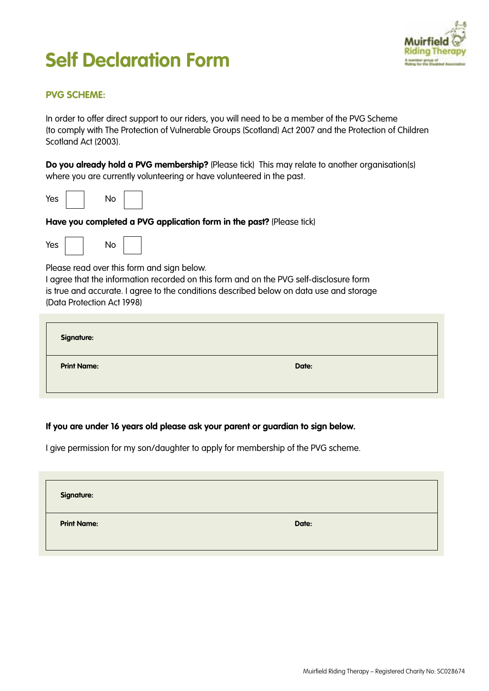# **Self Declaration Form**



# **PVG SCHEME:**

In order to offer direct support to our riders, you will need to be a member of the PVG Scheme (to comply with The Protection of Vulnerable Groups (Scotland) Act 2007 and the Protection of Children Scotland Act (2003).

**Do you already hold a PVG membership?** (Please tick) This may relate to another organisation(s) where you are currently volunteering or have volunteered in the past.



**Have you completed a PVG application form in the past?** (Please tick)



Please read over this form and sign below.

I agree that the information recorded on this form and on the PVG self-disclosure form is true and accurate. I agree to the conditions described below on data use and storage (Data Protection Act 1998)

| <b>Signature:</b>  |       |  |
|--------------------|-------|--|
| <b>Print Name:</b> | Date: |  |

# **If you are under 16 years old please ask your parent or guardian to sign below.**

I give permission for my son/daughter to apply for membership of the PVG scheme.

| <b>Signature:</b>  |       |  |
|--------------------|-------|--|
| <b>Print Name:</b> | Date: |  |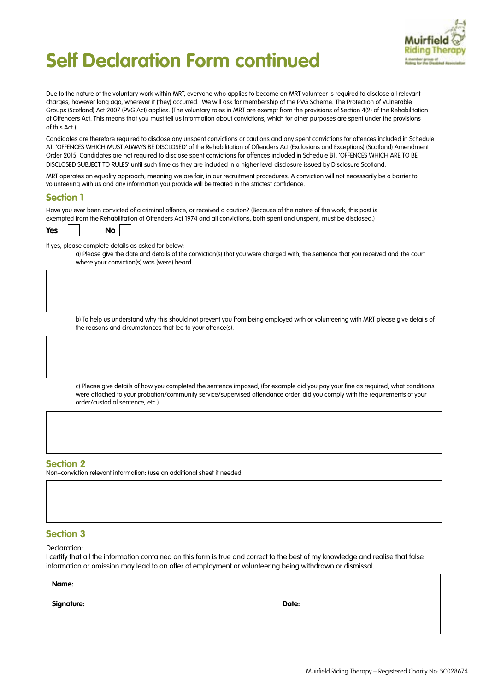

# **Self Declaration Form continued**

Due to the nature of the voluntary work within MRT, everyone who applies to become an MRT volunteer is required to disclose all relevant charges, however long ago, wherever it (they) occurred. We will ask for membership of the PVG Scheme. The Protection of Vulnerable Groups (Scotland) Act 2007 (PVG Act) applies. (The voluntary roles in MRT are exempt from the provisions of Section 4(2) of the Rehabilitation of Offenders Act. This means that you must tell us information about convictions, which for other purposes are spent under the provisions of this Act.)

Candidates are therefore required to disclose any unspent convictions or cautions and any spent convictions for offences included in Schedule A1, 'OFFENCES WHICH MUST ALWAYS BE DISCLOSED' of the Rehabilitation of Offenders Act (Exclusions and Exceptions) (Scotland) Amendment Order 2015. Candidates are not required to disclose spent convictions for offences included in Schedule B1, 'OFFENCES WHICH ARE TO BE DISCLOSED SUBJECT TO RULES' until such time as they are included in a higher level disclosure issued by Disclosure Scotland.

MRT operates an equality approach, meaning we are fair, in our recruitment procedures. A conviction will not necessarily be a barrier to volunteering with us and any information you provide will be treated in the strictest confidence.

### **Section 1**

Have you ever been convicted of a criminal offence, or received a caution? (Because of the nature of the work, this post is exempted from the Rehabilitation of Offenders Act 1974 and all convictions, both spent and unspent, must be disclosed.)

| Yes |  | No |  |
|-----|--|----|--|
|-----|--|----|--|

If yes, please complete details as asked for below:-

a) Please give the date and details of the conviction(s) that you were charged with, the sentence that you received and the court where your conviction(s) was (were) heard.

b) To help us understand why this should not prevent you from being employed with or volunteering with MRT please give details of the reasons and circumstances that led to your offence(s).

c) Please give details of how you completed the sentence imposed, (for example did you pay your fine as required, what conditions were attached to your probation/community service/supervised attendance order, did you comply with the requirements of your order/custodial sentence, etc.)

### **Section 2**

Non–conviction relevant information: (use an additional sheet if needed)

### **Section 3**

Declaration:

I certify that all the information contained on this form is true and correct to the best of my knowledge and realise that false information or omission may lead to an offer of employment or volunteering being withdrawn or dismissal.

**Signature:** Date: